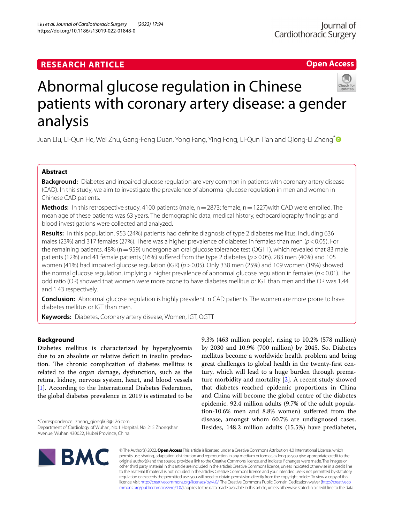# **RESEARCH ARTICLE**

# Abnormal glucose regulation in Chinese patients with coronary artery disease: a gender analysis

Juan Liu, Li-Qun He, Wei Zhu, Gang-Feng Duan, Yong Fang, Ying Feng, Li-Qun Tian and Qiong-Li Zheng<sup>[\\*](http://orcid.org/0000-0002-0487-0789)</sup>

# **Abstract**

**Background:** Diabetes and impaired glucose regulation are very common in patients with coronary artery disease (CAD). In this study, we aim to investigate the prevalence of abnormal glucose regulation in men and women in Chinese CAD patients.

**Methods:** In this retrospective study, 4100 patients (male, n = 2873; female, n = 1227)with CAD were enrolled. The mean age of these patients was 63 years. The demographic data, medical history, echocardiography fndings and blood investigations were collected and analyzed.

**Results:** In this population, 953 (24%) patients had defnite diagnosis of type 2 diabetes mellitus, including 636 males (23%) and 317 females (27%). There was a higher prevalence of diabetes in females than men (*p*<0.05). For the remaining patients, 48% ( $n=959$ ) undergone an oral glucose tolerance test (OGTT), which revealed that 83 male patients (12%) and 41 female patients (16%) suffered from the type 2 diabetes ( $p > 0.05$ ). 283 men (40%) and 105 women (41%) had impaired glucose regulation (IGR) (*p*>0.05). Only 338 men (25%) and 109 women (19%) showed the normal glucose regulation, implying a higher prevalence of abnormal glucose regulation in females (*p*<0.01). The odd ratio (OR) showed that women were more prone to have diabetes mellitus or IGT than men and the OR was 1.44 and 1.43 respectively.

**Conclusion:** Abnormal glucose regulation is highly prevalent in CAD patients. The women are more prone to have diabetes mellitus or IGT than men.

**Keywords:** Diabetes, Coronary artery disease, Women, IGT, OGTT

# **Background**

Diabetes mellitus is characterized by hyperglycemia due to an absolute or relative deficit in insulin production. The chronic complication of diabetes mellitus is related to the organ damage, dysfunction, such as the retina, kidney, nervous system, heart, and blood vessels [[1\]](#page-8-0). According to the International Diabetes Federation, the global diabetes prevalence in 2019 is estimated to be

\*Correspondence: zheng\_qiongli63@126.com Department of Cardiology of Wuhan, No.1 Hospital, No. 215 Zhongshan Avenue, Wuhan 430022, Hubei Province, China

9.3% (463 million people), rising to 10.2% (578 million) by 2030 and 10.9% (700 million) by 2045. So, Diabetes mellitus become a worldwide health problem and bring great challenges to global health in the twenty-frst century, which will lead to a huge burden through premature morbidity and mortality [\[2](#page-8-1)]. A recent study showed that diabetes reached epidemic proportions in China and China will become the global centre of the diabetes epidemic. 92.4 million adults (9.7% of the adult population-10.6% men and 8.8% women) suferred from the disease, amongst whom 60.7% are undiagnosed cases. Besides, 148.2 million adults (15.5%) have prediabetes,

© The Author(s) 2022. **Open Access** This article is licensed under a Creative Commons Attribution 4.0 International License, which permits use, sharing, adaptation, distribution and reproduction in any medium or format, as long as you give appropriate credit to the original author(s) and the source, provide a link to the Creative Commons licence, and indicate if changes were made. The images or other third party material in this article are included in the article's Creative Commons licence, unless indicated otherwise in a credit line to the material. If material is not included in the article's Creative Commons licence and your intended use is not permitted by statutory regulation or exceeds the permitted use, you will need to obtain permission directly from the copyright holder. To view a copy of this licence, visit [http://creativecommons.org/licenses/by/4.0/.](http://creativecommons.org/licenses/by/4.0/) The Creative Commons Public Domain Dedication waiver ([http://creativeco](http://creativecommons.org/publicdomain/zero/1.0/) [mmons.org/publicdomain/zero/1.0/](http://creativecommons.org/publicdomain/zero/1.0/)) applies to the data made available in this article, unless otherwise stated in a credit line to the data.

Liu *et al. Journal of Cardiothoracic Surgery (2022) 17:94*  https://doi.org/10.1186/s13019-022-01848-0





**Open Access**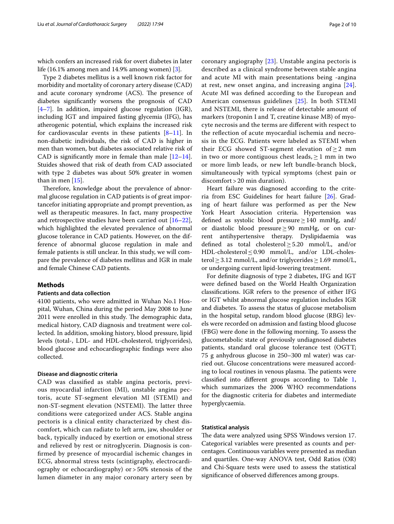which confers an increased risk for overt diabetes in later life (16.1% among men and 14.9% among women) [\[3](#page-8-2)].

Type 2 diabetes mellitus is a well known risk factor for morbidity and mortality of coronary artery disease (CAD) and acute coronary syndrome (ACS). The presence of diabetes signifcantly worsens the prognosis of CAD [[4–](#page-8-3)[7\]](#page-8-4). In addition, impaired glucose regulation (IGR), including IGT and impaired fasting glycemia (IFG), has atherogenic potential, which explains the increased risk for cardiovascular events in these patients  $[8-11]$  $[8-11]$ . In non-diabetic individuals, the risk of CAD is higher in men than women, but diabetes associated relative risk of CAD is significantly more in female than male  $[12-14]$  $[12-14]$  $[12-14]$ . Stuides showed that risk of death from CAD associated with type 2 diabetes was about 50% greater in women than in men [[15](#page-8-9)].

Therefore, knowledge about the prevalence of abnormal glucose regulation in CAD patients is of great importancefor initiating appropriate and prompt prevention, as well as therapeutic measures. In fact, many prospective and retrospective studies have been carried out  $[16-22]$  $[16-22]$  $[16-22]$ , which highlighted the elevated prevalence of abnormal glucose tolerance in CAD patients. However, on the difference of abnormal glucose regulation in male and female patients is still unclear. In this study, we will compare the prevalence of diabetes mellitus and IGR in male and female Chinese CAD patients.

# **Methods**

#### **Patients and data collection**

4100 patients, who were admitted in Wuhan No.1 Hospital, Wuhan, China during the period May 2008 to June 2011 were enrolled in this study. The demographic data, medical history, CAD diagnosis and treatment were collected. In addition, smoking history, blood pressure, lipid levels (total-, LDL- and HDL-cholesterol, triglycerides), blood glucose and echocardiographic fndings were also collected.

#### **Disease and diagnostic criteria**

CAD was classifed as stable angina pectoris, previous myocardial infarction (MI), unstable angina pectoris, acute ST-segment elevation MI (STEMI) and non-ST-segment elevation (NSTEMI). The latter three conditions were categorized under ACS. Stable angina pectoris is a clinical entity characterized by chest discomfort, which can radiate to left arm, jaw, shoulder or back, typically induced by exertion or emotional stress and relieved by rest or nitroglycerin. Diagnosis is confrmed by presence of myocardial ischemic changes in ECG, abnormal stress tests (scintigraphy, electrocardiography or echocardiography) or > 50% stenosis of the lumen diameter in any major coronary artery seen by coronary angiography [\[23](#page-8-12)]. Unstable angina pectoris is described as a clinical syndrome between stable angina and acute MI with main presentations being -angina at rest, new onset angina, and increasing angina [[24](#page-8-13)]. Acute MI was defned according to the European and American consensus guidelines [[25\]](#page-8-14). In both STEMI and NSTEMI, there is release of detectable amount of markers (troponin I and T, creatine kinase MB) of myocyte necrosis and the terms are diferent with respect to the refection of acute myocardial ischemia and necrosis in the ECG. Patients were labeled as STEMI when their ECG showed ST-segment elevation of  $\geq 2$  mm in two or more contiguous chest leads,  $\geq 1$  mm in two or more limb leads, or new left bundle-branch block, simultaneously with typical symptoms (chest pain or discomfort > 20 min duration).

Heart failure was diagnosed according to the criteria from ESC Guidelines for heart failure [\[26\]](#page-9-0). Grading of heart failure was performed as per the New York Heart Association criteria. Hypertension was defned as systolic blood pressure≥140 mmHg, and/ or diastolic blood pressure≥90 mmHg, or on current antihypertensive therapy. Dyslipidaemia was defned as total cholesterol≥5.20 mmol/L, and/or  $HDL-cholesterol \leq 0.90$  mmol/L, and/or LDL-cholesterol  $\geq$  3.12 mmol/L, and/or triglycerides  $\geq$  1.69 mmol/L, or undergoing current lipid-lowering treatment.

For defnite diagnosis of type 2 diabetes, IFG and IGT were defned based on the World Health Organization classifcations. IGR refers to the presence of either IFG or IGT whilst abnormal glucose regulation includes IGR and diabetes. To assess the status of glucose metabolism in the hospital setup, random blood glucose (RBG) levels were recorded on admission and fasting blood glucose (FBG) were done in the following morning. To assess the glucometabolic state of previously undiagnosed diabetes patients, standard oral glucose tolerance test (OGTT; 75 g anhydrous glucose in 250–300 ml water) was carried out. Glucose concentrations were measured according to local routines in venous plasma. The patients were classifed into diferent groups according to Table [1](#page-2-0), which summarizes the 2006 WHO recommendations for the diagnostic criteria for diabetes and intermediate hyperglycaemia.

### **Statistical analysis**

The data were analyzed using SPSS Windows version 17. Categorical variables were presented as counts and percentages. Continuous variables were presented as median and quartiles. One-way ANOVA test, Odd Ratios (OR) and Chi-Square tests were used to assess the statistical signifcance of observed diferences among groups.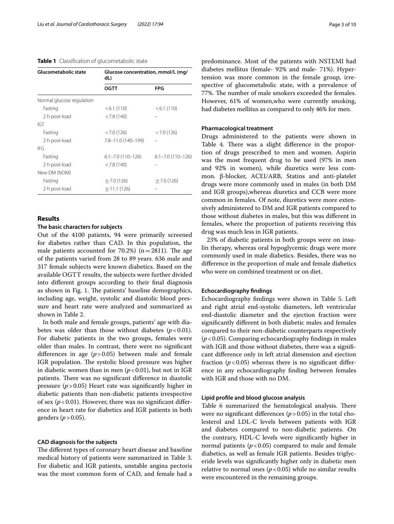#### <span id="page-2-0"></span>**Table 1** Classifcation of glucometabolic state

| Glucometabolic state      | Glucose concentration, mmol/L (mg/<br>dL) |                           |
|---------------------------|-------------------------------------------|---------------------------|
|                           | <b>OGTT</b>                               | <b>FPG</b>                |
| Normal glucose regulation |                                           |                           |
| Fasting                   | < 6.1(110)                                | < 6.1(110)                |
| 2 h post-load             | < 7.8(140)                                |                           |
| IGT                       |                                           |                           |
| Fasting                   | < 7.0(126)                                | < 7.0(126)                |
| 2 h post-load             | 7.8-11.0 (140-199)                        |                           |
| IFG                       |                                           |                           |
| Fasting                   | $6.1 - 7.0$ (110 $-126$ )                 | $6.1 - 7.0$ (110 $-126$ ) |
| 2 h post-load             | < 7.8(140)                                |                           |
| New DM (NDM)              |                                           |                           |
| Fasting                   | $>$ 7.0 (126)                             | $\geq$ 7.0 (126)          |
| 2 h post-load             | >11.1(126)                                |                           |

#### **Results**

## **The basic characters for subjects**

Out of the 4100 patients, 94 were primarily screened for diabetes rather than CAD. In this population, the male patients accounted for 70.2%) ( $n=2811$ ). The age of the patients varied from 28 to 89 years. 636 male and 317 female subjects were known diabetics. Based on the available OGTT results, the subjects were further divided into diferent groups according to their fnal diagnosis as shown in Fig. [1](#page-3-0). The patients' baseline demographics, including age, weight, systolic and diastolic blood pressure and heart rate were analyzed and summarized as shown in Table [2.](#page-3-1)

In both male and female groups, patients' age with diabetes was older than those without diabetes  $(p < 0.01)$ . For diabetic patients in the two groups, females were older than males. In contrast, there were no signifcant diferences in age (*p*>0.05) between male and female IGR population. The systolic blood pressure was higher in diabetic women than in men  $(p < 0.01)$ , but not in IGR patients. There was no significant difference in diastolic pressure  $(p > 0.05)$  Heart rate was significantly higher in diabetic patients than non-diabetic patients irrespective of sex  $(p<0.01)$ . However, there was no significant difference in heart rate for diabetics and IGR patients in both genders  $(p>0.05)$ .

#### **CAD diagnosis for the subjects**

The different types of coronary heart disease and baseline medical history of patients were summarized in Table [3](#page-4-0). For diabetic and IGR patients, unstable angina pectoris was the most common form of CAD, and female had a predominance. Most of the patients with NSTEMI had diabetes mellitus (female- 92% and male- 71%). Hypertension was more common in the female group, irrespective of glucometabolic state, with a prevalence of 77%. The number of male smokers exceeded the females. However, 61% of women,who were currently smoking, had diabetes mellitus as compared to only 46% for men.

#### **Pharmacological treatment**

Drugs administered to the patients were shown in Table [4.](#page-5-0) There was a slight difference in the proportion of drugs prescribed to men and women. Aspirin was the most frequent drug to be used (97% in men and 92% in women), while diuretics were less common. β-blocker, ACEI/ARB, Statins and anti-platelet drugs were more commonly used in males (in both DM and IGR groups),whereas diuretics and CCB were more common in females. Of note, diuretics were more extensively administered to DM and IGR patients compared to those without diabetes in males, but this was diferent in females, where the proportion of patients receiving this drug was much less in IGR patients.

23% of diabetic patients in both groups were on insulin therapy, whereas oral hypoglycemic drugs were more commonly used in male diabetics. Besides, there was no diference in the proportion of male and female diabetics who were on combined treatment or on diet.

#### **Echocardiography fndings**

Echocardiography fndings were shown in Table [5](#page-6-0). Left and right atrial end-systolic diameters, left ventricular end-diastolic diameter and the ejection fraction were signifcantly diferent in both diabetic males and females compared to their non-diabetic counterparts respectively (*p*<0.05). Comparing echocardiography fndings in males with IGR and those without diabetes, there was a signifcant diference only in left atrial dimension and ejection fraction  $(p<0.05)$  whereas there is no significant difference in any echocardiography fnding between females with IGR and those with no DM.

#### **Lipid profle and blood glucose analysis**

Table [6](#page-7-0) summarized the hematological analysis. There were no significant differences  $(p > 0.05)$  in the total cholesterol and LDL-C levels between patients with IGR and diabetes compared to non-diabetic patients. On the contrary, HDL-C levels were signifcantly higher in normal patients  $(p<0.05)$  compared to male and female diabetics, as well as female IGR patients. Besides triglyceride levels was signifcantly higher only in diabetic men relative to normal ones ( $p < 0.05$ ) while no similar results were encountered in the remaining groups.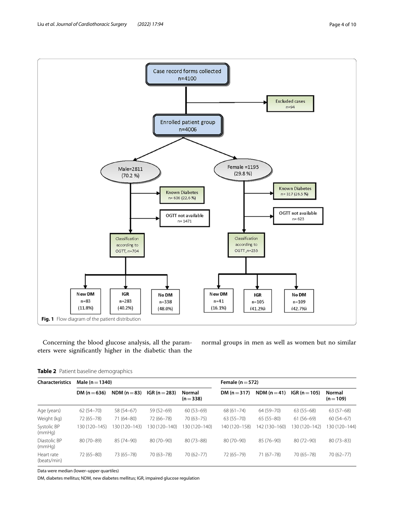<span id="page-3-0"></span>Concerning the blood glucose analysis, all the parameters were signifcantly higher in the diabetic than the normal groups in men as well as women but no similar

<span id="page-3-1"></span>

| <b>Characteristics</b>    | Male ( $n = 1340$ ) |               |                 |                     | Female ( $n = 572$ ) |               |                 |                     |  |
|---------------------------|---------------------|---------------|-----------------|---------------------|----------------------|---------------|-----------------|---------------------|--|
|                           | DM $(n=636)$        | NDM $(n=83)$  | $IGR (n = 283)$ | Normal<br>$(n=338)$ | DM $(n=317)$         | NDM $(n=41)$  | $IGR (n = 105)$ | Normal<br>$(n=109)$ |  |
| Age (years)               | $62(54 - 70)$       | 58 (54-67)    | $59(52-69)$     | $60(53-69)$         | $68(61 - 74)$        | 64 (59-70)    | $63(55-68)$     | $63(57-68)$         |  |
| Weight (kg)               | 72 (65-78)          | $71(64 - 80)$ | 72 (66-78)      | $70(63 - 75)$       | $63(55 - 70)$        | $65(55-80)$   | $61(56-69)$     | $60(54-67)$         |  |
| Systolic BP<br>(mmHq)     | 130 (120–145)       | 130 (120–143) | 130 (120–140)   | 130 (120–140)       | 140 (120-158)        | 142 (130–160) | 130 (120–142)   | 30 (120-144)        |  |
| Diastolic BP<br>(mmHq)    | 80 (70-89)          | 85 (74-90)    | 80 (70-90)      | $80(73 - 88)$       | 80 (70-90)           | 85 (76-90)    | 80 (72-90)      | $80(73 - 83)$       |  |
| Heart rate<br>(beats/min) | $72(65 - 80)$       | 73 (65 - 78)  | $70(63 - 78)$   | $70(62 - 77)$       | 72 (65-79)           | $71(67 - 78)$ | 70 (65 - 78)    | $70(62 - 77)$       |  |

Data were median (lower–upper quartiles)

DM, diabetes mellitus; NDM, new diabetes mellitus; IGR, impaired glucose regulation

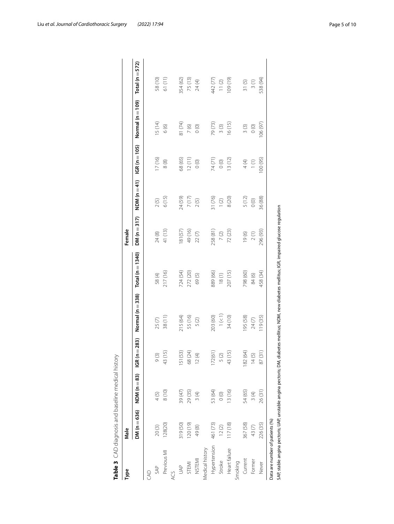| Type            | Male          |               |                   |                      |                      | Female        |                |                |                      |                     |
|-----------------|---------------|---------------|-------------------|----------------------|----------------------|---------------|----------------|----------------|----------------------|---------------------|
|                 | $DM(n = 636)$ | $NDM(n=83)$   | $= 283$<br>IGR (n | Normal ( $n = 338$ ) | Total ( $n = 1340$ ) | $DM(n = 317)$ | NDM ( $n=41$ ) | $IGR(n = 105)$ | Normal ( $n = 109$ ) | Total ( $n = 572$ ) |
| S               |               |               |                   |                      |                      |               |                |                |                      |                     |
| SAP             | 20(3)         | 4 (5)         | 9(3)              | 25 <sub>(7)</sub>    | 58(4)                | 24(8)         | 2(5)           | 17(16)         | 15 (14)              | 58 (10)             |
| Previous MI     | 128(20)       | 8(10)         | 5<br>43(1)        | 38 (11)              | 217 (16)             | 41 (13)       | 6(15)          | $\frac{8}{8}$  | 6(6)                 | 61 (11)             |
|                 |               |               |                   |                      |                      |               |                |                |                      |                     |
| SP              | 319 (50)      | 39 (47)       | 151(53)           | 215 (64)             | 724 (54)             | 81(57)        | 24 (59)        | 68 (65)        | 81 (74)              | 354 (62)            |
| STEMI           | 120(19)       | 29 (35)       | 68 (24)           | 55 (16)              | 272 (20)             | 49(16)        | 7(17)          | 12(11)         | $7(6)$               | 75 (13)             |
| <b>NSTEMI</b>   | 49(8)         | 3(4)          | 12(4)             | 5(2)                 | 69(5)                | 22(7)         | 2(5)           | $\circ$        | $\circ$              | 24(4)               |
| Medical history |               |               |                   |                      |                      |               |                |                |                      |                     |
| Hypertension    | 461 (73)      | 53 (64)       | 172(61)           | 203 (60)             | 889 (66)             | 258 (81)      | 31 (76)        | 74(71)         | 79 (73)              | 442 (77)            |
| Stroke          | 12(2)         | $\frac{1}{2}$ | 5(2)              | $1\ (\leqslant\!1)$  | 18(1)                | $7(2)$        | 1(2)           | $\circ$        | 3(3)                 | $11(2)$             |
| Heart failure   | 117(18)       | 13(16)        | 43 (15)           | 34 (10)              | 207 (15)             | 72 (23)       | 8(20)          | 13(12)         | 16(15)               | 109 (19)            |
| Smoking         |               |               |                   |                      |                      |               |                |                |                      |                     |
| Current         | 367 (58)      | 54 (65)       | 182 (64)          | 95 (58)              | 798 (60)             | 19(6)         | 5(12)          | $4(4)$         | 3(3)                 | 31(5)               |
| Former          | 43(7)         | 3(4)          | 14(5)             | 24 (7)               | 84(6)                | 2(1)          | $\circ$        | (1)            | $\circ$              | 3(1)                |
| Never           | 226 (35)      | 26(31)        | $87(3^{\circ})$   | 119 (35)             | 458 (34)             | 296 (93)      | 36 (88)        | 100(95)        | 106(97)              | 538 (94)            |

<span id="page-4-0"></span>

| I<br>١                                       |
|----------------------------------------------|
| J<br>j                                       |
| j<br>í                                       |
| うこり 一つりこうりょう クタミークりょう てっちょう りょうりょう<br>١<br>5 |
| ١<br>1<br>l                                  |
| ۱<br>ı<br>IJ<br>٥<br>ï                       |

Liu *et al. Journal of Cardiothoracic Surgery (2022) 17:94* Page 5 of 10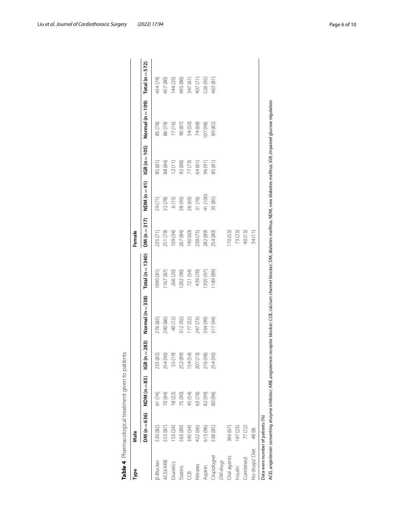| Normal ( $n = 109$ )<br>85 (78)<br>17(16)<br>74 (68)<br>07 (98)<br>86 (79)<br>54 (50)<br>89 (82)<br>90 (87)<br>$IGR(n = 105)$<br>77 (73)<br>92 (88)<br>88 (84)<br>12(11)<br>64 (61)<br>96(91)<br>85(81)<br>85(81)<br>NDM ( $n=41$ )<br>41 (100)<br>31 (76)<br>6(15)<br>26 (63)<br>35 (85)<br>32 (78)<br>38 (93)<br>29(71)<br>$DM(n=317)$<br>225 (71)<br>251 (79)<br>09 (34)<br>170(53)<br>73 (23)<br>40 (13)<br>267 (84)<br>238 (75)<br>(09) 061<br>282 (89)<br>254 (80)<br>Total (n $=$ 1340)<br>(18)060<br>721 (54)<br>1167(87)<br>266 (20)<br>202 (90)<br>439 (70)<br>1189 (89)<br>305 (97)<br>Normal ( $n = 338$ )<br>276 (82)<br>290 (86)<br>40 (12)<br>312 (92)<br>247 (73)<br>334 (99)<br>317 (94)<br>177 (52)<br>$= 283$<br>154 (54)<br>254 (90)<br>55 (19)<br>252 (89)<br>207 (73)<br>276 (98)<br>254 (90)<br>233 (82)<br>1GR (n<br>NDM ( $n=83$ )<br>63 (76)<br>82 (99)<br>61 (74)<br>70 (84)<br>75 (90)<br>45 (54)<br>80 (96)<br>18(22)<br>$DM(n = 636)$<br>153 (24)<br>520 (82)<br>563 (89)<br>345 (54)<br>422 (66)<br>613 (96)<br>538 (85)<br>364 (67)<br>147 (23)<br>77(12)<br>553 (87)<br><b>Ippidogrel</b><br>Oral agents<br>Combined<br><b>DM</b> drugs<br>ACEI/ARB<br><b>B-Blocker</b><br>Diuretics<br>Nitrates<br>Aspirin<br>Insulin<br>Statins<br>ij | Type          | Male  |  |  | Female |  |                     |
|--------------------------------------------------------------------------------------------------------------------------------------------------------------------------------------------------------------------------------------------------------------------------------------------------------------------------------------------------------------------------------------------------------------------------------------------------------------------------------------------------------------------------------------------------------------------------------------------------------------------------------------------------------------------------------------------------------------------------------------------------------------------------------------------------------------------------------------------------------------------------------------------------------------------------------------------------------------------------------------------------------------------------------------------------------------------------------------------------------------------------------------------------------------------------------------------------------------------------------------------------------------------------|---------------|-------|--|--|--------|--|---------------------|
|                                                                                                                                                                                                                                                                                                                                                                                                                                                                                                                                                                                                                                                                                                                                                                                                                                                                                                                                                                                                                                                                                                                                                                                                                                                                          |               |       |  |  |        |  | Total ( $n = 572$ ) |
|                                                                                                                                                                                                                                                                                                                                                                                                                                                                                                                                                                                                                                                                                                                                                                                                                                                                                                                                                                                                                                                                                                                                                                                                                                                                          |               |       |  |  |        |  | 424 (74)            |
|                                                                                                                                                                                                                                                                                                                                                                                                                                                                                                                                                                                                                                                                                                                                                                                                                                                                                                                                                                                                                                                                                                                                                                                                                                                                          |               |       |  |  |        |  | 457 (80)            |
|                                                                                                                                                                                                                                                                                                                                                                                                                                                                                                                                                                                                                                                                                                                                                                                                                                                                                                                                                                                                                                                                                                                                                                                                                                                                          |               |       |  |  |        |  | 144 (25)            |
|                                                                                                                                                                                                                                                                                                                                                                                                                                                                                                                                                                                                                                                                                                                                                                                                                                                                                                                                                                                                                                                                                                                                                                                                                                                                          |               |       |  |  |        |  | 493 (86)            |
|                                                                                                                                                                                                                                                                                                                                                                                                                                                                                                                                                                                                                                                                                                                                                                                                                                                                                                                                                                                                                                                                                                                                                                                                                                                                          |               |       |  |  |        |  | 347 (61)            |
|                                                                                                                                                                                                                                                                                                                                                                                                                                                                                                                                                                                                                                                                                                                                                                                                                                                                                                                                                                                                                                                                                                                                                                                                                                                                          |               |       |  |  |        |  | 407 (71)            |
|                                                                                                                                                                                                                                                                                                                                                                                                                                                                                                                                                                                                                                                                                                                                                                                                                                                                                                                                                                                                                                                                                                                                                                                                                                                                          |               |       |  |  |        |  | 526 (92)            |
|                                                                                                                                                                                                                                                                                                                                                                                                                                                                                                                                                                                                                                                                                                                                                                                                                                                                                                                                                                                                                                                                                                                                                                                                                                                                          |               |       |  |  |        |  | 463 (81)            |
|                                                                                                                                                                                                                                                                                                                                                                                                                                                                                                                                                                                                                                                                                                                                                                                                                                                                                                                                                                                                                                                                                                                                                                                                                                                                          |               |       |  |  |        |  |                     |
|                                                                                                                                                                                                                                                                                                                                                                                                                                                                                                                                                                                                                                                                                                                                                                                                                                                                                                                                                                                                                                                                                                                                                                                                                                                                          |               |       |  |  |        |  |                     |
|                                                                                                                                                                                                                                                                                                                                                                                                                                                                                                                                                                                                                                                                                                                                                                                                                                                                                                                                                                                                                                                                                                                                                                                                                                                                          |               |       |  |  |        |  |                     |
|                                                                                                                                                                                                                                                                                                                                                                                                                                                                                                                                                                                                                                                                                                                                                                                                                                                                                                                                                                                                                                                                                                                                                                                                                                                                          |               |       |  |  |        |  |                     |
|                                                                                                                                                                                                                                                                                                                                                                                                                                                                                                                                                                                                                                                                                                                                                                                                                                                                                                                                                                                                                                                                                                                                                                                                                                                                          | No drugs/Diet | 48(8) |  |  | 34(11) |  |                     |

<span id="page-5-0"></span>

| į<br>ś                             |  |
|------------------------------------|--|
| $\mathbf$                          |  |
| .<br>)                             |  |
|                                    |  |
|                                    |  |
| ; c c ; + 1 c c ; c c c c c c<br>J |  |
| יי יי יי ה<br>j                    |  |
| Ï                                  |  |
|                                    |  |

Liu *et al. Journal of Cardiothoracic Surgery (2022) 17:94* Page 6 of 10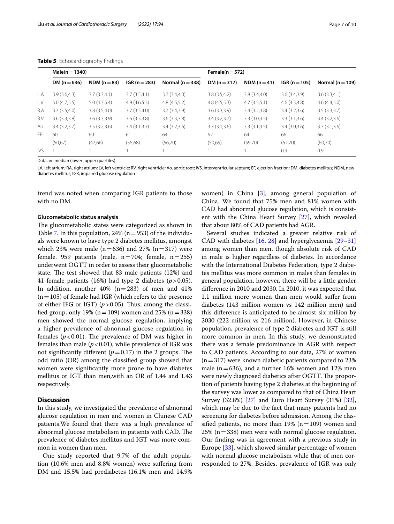|      | $Male(n = 1340)$ |              |                 |                  | Female( $n = 572$ ) |              |                 |                  |
|------|------------------|--------------|-----------------|------------------|---------------------|--------------|-----------------|------------------|
|      | DM $(n=636)$     | NDM $(n=83)$ | $IGR (n = 283)$ | Normal $(n=338)$ | DM $(n=317)$        | $NDM(n=41)$  | $IGR (n = 105)$ | Normal $(n=109)$ |
| L.A  | 3.9(3.6,4.3)     | 3.7(3.3,4.1) | 3.7(3.5,4.1)    | 3.7(3.4,4.0)     | 3.8(3.5,4.2)        | 3.8(3.4,4.0) | 3.6(3.4,3.9)    | 3.6(3.3.4.1)     |
| L.V  | 5.0(4.7.5.5)     | 5.0(4.7.5.4) | 4.9(4.6,5.3)    | 4.8(4.5.5.2)     | 4.8(4.5,5.3)        | 4.7(4.5.5.1) | 4.6(4.3,4.8)    | 4.6(4.4,5.0)     |
| R.A  | 3.7(3.5,4.0)     | 3.8(3.5,4.0) | 3.7(3.5,4.0)    | 3.7(3.4,3.9)     | 3.6(3.3.3.9)        | 3.4(3.2,3.8) | 3.4(3.2,3.6)    | 3.5(3.3.3.7)     |
| R.V  | 3.6(3.3.3.8)     | 3.6(3.3.3.9) | 3.6(3.3.3.8)    | 3.6(3.3.3.8)     | 3.4(3.2,3.7)        | 3.3(3.0,3.5) | 3.3(3.1,3.6)    | 3.4(3.2,3.6)     |
| Ao   | 3.4(3.2,3.7)     | 3.5(3.2,3.6) | 3.4(3.1,3.7)    | 3.4(3.2,3.6)     | 3.3(3.1,3.6)        | 3.3(3.1,3.5) | 3.4(3.0,3.6)    | 3.3(3.1,3.6)     |
| FF.  | 60               | 60           | 61              | 64               | 62                  | 64           | 66              | 66               |
|      | (50.67)          | (47,66)      | (55,68)         | (56,70)          | (50,69)             | (59,70)      | (62,70)         | (60,70)          |
| IVS. |                  |              |                 |                  |                     |              | 0.9             | 0.9              |

<span id="page-6-0"></span>**Table 5** Echocardiography findings

Data are median (lower–upper quartiles)

LA, left atrium; RA, right atrium; LV, left ventricle; RV, right ventricle; Ao, aortic root; IVS, interventricular septum; EF, ejection fraction; DM. diabetes mellitus; NDM, new diabetes mellitus; IGR, impaired glucose regulation

trend was noted when comparing IGR patients to those with no DM.

# **Glucometabolic status analysis**

The glucometabolic states were categorized as shown in Table [7](#page-7-1). In this population, 24% ( $n=953$ ) of the individuals were known to have type 2 diabetes mellitus, amongst which 23% were male ( $n=636$ ) and 27% ( $n=317$ ) were female. 959 patients (male,  $n=704$ ; female,  $n=255$ ) underwent OGTT in order to assess their glucometabolic state. The test showed that 83 male patients  $(12%)$  and 41 female patients (16%) had type 2 diabetes  $(p > 0.05)$ . In addition, another  $40\%$  (n=283) of men and  $41\%$  $(n=105)$  of female had IGR (which refers to the presence of either IFG or IGT)  $(p > 0.05)$ . Thus, among the classified group, only 19% ( $n=109$ ) women and 25% ( $n=338$ ) men showed the normal glucose regulation, implying a higher prevalence of abnormal glucose regulation in females ( $p < 0.01$ ). The prevalence of DM was higher in females than male  $(p<0.01)$ , while prevalence of IGR was not significantly different  $(p=0.17)$  in the 2 groups. The odd ratio (OR) among the classifed group showed that women were signifcantly more prone to have diabetes mellitus or IGT than men,with an OR of 1.44 and 1.43 respectively.

#### **Discussion**

In this study, we investigated the prevalence of abnormal glucose regulation in men and women in Chinese CAD patients.We found that there was a high prevalence of abnormal glucose metabolism in patients with CAD. The prevalence of diabetes mellitus and IGT was more common in women than men.

One study reported that 9.7% of the adult population (10.6% men and 8.8% women) were sufering from DM and 15.5% had prediabetes (16.1% men and 14.9%

women) in China [[3\]](#page-8-2), among general population of China. We found that 75% men and 81% women with CAD had abnormal glucose regulation, which is consistent with the China Heart Survey [\[27](#page-9-1)], which revealed that about 80% of CAD patients had AGR.

Several studies indicated a greater relative risk of CAD with diabetes [\[16,](#page-8-10) [28](#page-9-2)] and hyperglycaemia [[29–](#page-9-3)[31](#page-9-4)] among women than men, though absolute risk of CAD in male is higher regardless of diabetes. In accordance with the International Diabetes Federation, type 2 diabetes mellitus was more common in males than females in general population, however, there will be a little gender diference in 2010 and 2030. In 2010, it was expected that 1.1 million more women than men would sufer from diabetes (143 million women vs 142 million men) and this diference is anticipated to be almost six million by 2030 (222 million vs 216 million). However, in Chinese population, prevalence of type 2 diabetes and IGT is still more common in men. In this study, we demonstrated there was a female predominance in AGR with respect to CAD patients. According to our data, 27% of women  $(n=317)$  were known diabetic patients compared to 23% male ( $n=636$ ), and a further 16% women and 12% men were newly diagnosed diabetics after OGTT. The proportion of patients having type 2 diabetes at the beginning of the survey was lower as compared to that of China Heart Survey (32.8%) [\[27\]](#page-9-1) and Euro Heart Survey (31%) [\[32](#page-9-5)], which may be due to the fact that many patients had no screening for diabetes before admission. Among the classified patients, no more than 19% ( $n=109$ ) women and  $25\%$  (n=338) men were with normal glucose regulation. Our fnding was in agreement with a previous study in Europe [\[33\]](#page-9-6), which showed similar percentage of women with normal glucose metabolism while that of men corresponded to 27%. Besides, prevalence of IGR was only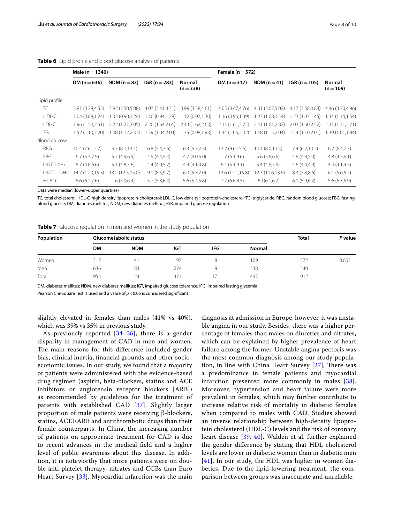|               | Male ( $n = 1340$ ) |                  |                  |                     | Female ( $n = 572$ ) |                  |                  |                     |
|---------------|---------------------|------------------|------------------|---------------------|----------------------|------------------|------------------|---------------------|
|               | DM ( $n = 636$ )    | NDM ( $n = 83$ ) | $IGR (n = 283)$  | Normal<br>$(n=338)$ | DM $(n=317)$         | NDM $(n=41)$     | $IGR (n = 105)$  | Normal<br>$(n=109)$ |
| Lipid profile |                     |                  |                  |                     |                      |                  |                  |                     |
| TC            | 3.81 (3.28,4.55)    | 3.92 (3.50,5.08) | 4.07 (3.41,4.71) | 3.99 (3.38,4.61)    | 4.05 (3.47,4.76)     | 4.31 (3.67,5.02) | 4.17 (3.58,4.83) | 4.46 (3.70,4.96)    |
| HDL-C         | 1.04 (0.88.1.24)    | 0.90,1.24)       | 1.10 (0.94,1.28) | 1.12(0.97, 1.30)    | 1.16 (0.95.1.39)     | 1.27 (1.08,1.54) | 1.23 (1.07,1.45) | 1.34 (1.14,1.54)    |
| LDL-C         | 1.96 (1.54,2.51)    | 2.22(1.77, 3.05) | 2.20 (1.64,2.66) | 2.13 (1.62,2.63)    | 2.11 (1.61, 2.75)    | 2.41 (1.61,2.82) | 2.03 (1.60,2.52) | 2.31 (1.71,2.71)    |
| TG.           | 1.52 (1.10.2.20)    | 1.48(1.12, 2.31) | 1.39 (1.04,2.04) | .35 (0.98.1.93)     | 1.44 (1.06.2.02)     | 1.48 (1.15,2.04) | 1.54 (1.10,2.01) | 1.39 (1.01.1.84)    |
| Blood glucose |                     |                  |                  |                     |                      |                  |                  |                     |
| RBG           | 10.4(7.6, 12.7)     | 9.7(8.1, 13.1)   | 6.8(5.4,7.6)     | 6.3(5.3,7.3)        | 13.2 (9.6,15.6)      | 10.1 (8.0, 11.5) | 7.4(6.2,10.2)    | 6.7(6.4,7.3)        |
| <b>FBG</b>    | 6.7(5.3,7.9)        | 5.7(4.9,6.5)     | 4.9(4.4.5.4)     | 4.7(4.0.5.0)        | 7(6.1, 9.6)          | 5.6(5.6.6.6)     | 4.9(4.8,5.0)     | 4.8(4.5,5.1)        |
| OGTT-0Hr      | 5.7(4.8,6.6)        | 5.1(4.8.5.6)     | 4.4(4.0.5.2)     | 4.4(4.1, 4.8)       | 6.4(5.1, 9.1)        | 5.4(4.9.5.9)     | 4.6(4.4.4.9)     | 4.4(4.1, 4.5)       |
| OGTT-2Hr      | 14.2 (12.0,15.3)    | 13.2 (12.5,15.0) | 9.1(8.5,9.7)     | 6.0(5.3,7.0)        | 13.6 (12.1,15.8)     | 12.3 (11.6,13.6) | 8.3(7.8,8.6)     | 6.1(5.6,6.7)        |
| HbA1C         | 6.6(6.2,7.6)        | 6(5.9,6.4)       | 5.7(5.3,6.4)     | 5.6(5.4,5.8)        | 7.2(6.6,8.5)         | 6.1(6.1, 6.2)    | 6.1(5.9,6.2)     | 5.6(5.3,5.9)        |

#### <span id="page-7-0"></span>**Table 6** Lipid profle and blood glucose analysis of patients

Data were median (lower–upper quartiles)

TC, total cholesterol; HDL-C, high density lipoprotein-cholesterol; LDL-C, low density lipoprotein-cholesterol; TG, triglyceride; RBG, random blood glucose; FBG, fasting blood glucose; DM, diabetes mellitus; NDM, new diabetes mellitus; IGR, impaired glucose regulation

<span id="page-7-1"></span>

| Table 7 Glucose regulation in men and women in the study population |  |
|---------------------------------------------------------------------|--|
|---------------------------------------------------------------------|--|

| Population |           | Glucometabolic status |     |     |               | <b>Total</b> | P value |
|------------|-----------|-----------------------|-----|-----|---------------|--------------|---------|
|            | <b>DM</b> | <b>NDM</b>            | IGT | IFG | <b>Normal</b> |              |         |
| Women      | 317       | 41                    | 97  | 8   | 109           | 572          | 0.003   |
| Men        | 636       | 83                    | 274 |     | 338           | 1340         |         |
| Total      | 953       | '24                   | 371 |     | 447           | 1912         |         |

DM, diabetes mellitus; NDM, new diabetes mellitus; IGT, impaired glucose tolerance; IFG, impaired fasting glycemia

Pearson Chi-Square Test is used and a value of *p*<0.05 is considered signifcant

slightly elevated in females than males (41% vs 40%), which was 39% vs 35% in previous study.

As previously reported [\[34–](#page-9-7)[36\]](#page-9-8), there is a gender disparity in management of CAD in men and women. The main reasons for this difference included gender bias, clinical inertia, fnancial grounds and other socioeconomic issues. In our study, we found that a majority of patients were administered with the evidence-based drug regimen (aspirin, beta-blockers, statins and ACE inhibitors or angiotensin receptor blockers [ARB]) as recommended by guidelines for the treatment of patients with established CAD [\[37](#page-9-9)]. Slightly larger proportion of male patients were receiving β-blockers, statins, ACEI/ARB and antithrombotic drugs than their female counterparts. In China, the increasing number of patients on appropriate treatment for CAD is due to recent advances in the medical feld and a higher level of public awareness about this disease. In addition, it is noteworthy that more patients were on double anti-platelet therapy, nitrates and CCBs than Euro Heart Survey [\[33\]](#page-9-6). Myocardial infarction was the main

diagnosis at admission in Europe, however, it was unstable angina in our study. Besides, there was a higher percentage of females than males on diuretics and nitrates, which can be explained by higher prevalence of heart failure among the former. Unstable angina pectoris was the most common diagnosis among our study population, in line with China Heart Survey  $[27]$ , There was a predominance in female patients and myocardial infarction presented more commonly in males [[38](#page-9-10)]. Moreover, hypertension and heart failure were more prevalent in females, which may further contribute to increase relative risk of mortality in diabetic females when compared to males with CAD. Studies showed an inverse relationship between high-density lipoprotein cholesterol (HDL-C) levels and the risk of coronary heart disease [[39,](#page-9-11) [40](#page-9-12)]. Walden et al. further explained the gender diference by stating that HDL cholesterol levels are lower in diabetic women than in diabetic men  $[41]$  $[41]$  $[41]$ . In our study, the HDL was higher in women diabetics. Due to the lipid-lowering treatment, the comparison between groups was inaccurate and unreliable.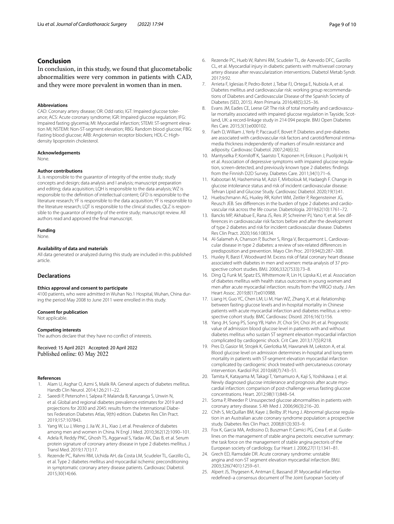# **Conclusion**

In conclusion, in this study, we found that glucometabolic abnormalities were very common in patients with CAD, and they were more prevalent in women than in men.

#### **Abbreviations**

CAD: Coronary artery disease; OR: Odd ratio; IGT: Impaired glucose tolerance; ACS: Acute coronary syndrome; IGR: Impaired glucose regulation; IFG: Impaired fasting glycemia; MI: Myocardial infarction; STEMI: ST-segment elevation MI; NSTEMI: Non-ST-segment elevation; RBG: Random blood glucose; FBG: Fasting blood glucose; ARB: Angiotensin receptor blockers; HDL-C: Highdensity lipoprotein cholesterol.

#### **Acknowledgements**

None.

#### **Author contributions**

JL is responsible to the guarantor of integrity of the entire study; study concepts and design; data analysis and l analysis; manuscript preparation and editing; data acquisition; LQH is responsible to the data analysis; WZ is responsible to the defnition of intellectual content; GFD is responsible to the literature research; YF is responsible to the data acquisition; YF is responsible to the literature research; LQT is responsible to the clinical studies; QLZ is responsible to the guarantor of integrity of the entire study; manuscript review. All authors read and approved the fnal manuscript.

# **Funding**

None.

#### **Availability of data and materials**

All data generated or analyzed during this study are included in this published article.

#### **Declarations**

#### **Ethics approval and consent to participate**

4100 patients, who were admitted in Wuhan No.1 Hospital, Wuhan, China during the period May 2008 to June 2011 were enrolled in this study.

#### **Consent for publication**

Not applicable.

#### **Competing interests**

The authors declare that they have no confict of interests.

Received: 15 April 2021 Accepted: 20 April 2022 Published online: 03 May 2022

#### **References**

- <span id="page-8-0"></span>1. Alam U, Asghar O, Azmi S, Malik RA. General aspects of diabetes mellitus. Handb Clin Neurol. 2014;126:211–22.
- <span id="page-8-1"></span>2. Saeedi P, Petersohn I, Salpea P, Malanda B, Karuranga S, Unwin N, et al. Global and regional diabetes prevalence estimates for 2019 and projections for 2030 and 2045: results from the International Diabetes Federation Diabetes Atlas, 9(th) edition. Diabetes Res Clin Pract. 2019;157:107843.
- <span id="page-8-2"></span>3. Yang W, Lu J, Weng J, Jia W, Ji L, Xiao J, et al. Prevalence of diabetes among men and women in China. N Engl J Med. 2010;362(12):1090–101.
- <span id="page-8-3"></span>4. Adela R, Reddy PNC, Ghosh TS, Aggarwal S, Yadav AK, Das B, et al. Serum protein signature of coronary artery disease in type 2 diabetes mellitus. J Transl Med. 2019;17(1):17.
- 5. Rezende PC, Rahmi RM, Uchida AH, da Costa LM, Scudeler TL, Garzillo CL, et al. Type 2 diabetes mellitus and myocardial ischemic preconditioning in symptomatic coronary artery disease patients. Cardiovasc Diabetol. 2015;30(14):66.
- 6. Rezende PC, Hueb W, Rahmi RM, Scudeler TL, de Azevedo DFC, Garzillo CL, et al. Myocardial injury in diabetic patients with multivessel coronary artery disease after revascularization interventions. Diabetol Metab Syndr. 2017;9:92.
- <span id="page-8-4"></span>7. Arrieta F, Iglesias P, Pedro-Botet J, Tebar FJ, Ortega E, Nubiola A, et al. Diabetes mellitus and cardiovascular risk: working group recommendations of Diabetes and Cardiovascular Disease of the Spanish Society of Diabetes (SED, 2015). Aten Primaria. 2016;48(5):325–36.
- <span id="page-8-5"></span>Evans JM, Eades CE, Leese GP. The risk of total mortality and cardiovascular mortality associated with impaired glucose regulation in Tayside, Scotland, UK: a record-linkage study in 214 094 people. BMJ Open Diabetes Res Care. 2015;3(1):e000102.
- 9. Faeh D, William J, Yerly P, Paccaud F, Bovet P. Diabetes and pre-diabetes are associated with cardiovascular risk factors and carotid/femoral intimamedia thickness independently of markers of insulin resistance and adiposity. Cardiovasc Diabetol. 2007;24(6):32.
- 10. Mantyselka P, Korniloff K, Saaristo T, Koponen H, Eriksson J, Puolijoki H, et al. Association of depressive symptoms with impaired glucose regulation, screen-detected, and previously known type 2 diabetes: fndings from the Finnish D2D Survey. Diabetes Care. 2011;34(1):71–6.
- <span id="page-8-6"></span>11. Kabootari M, Hasheminia M, Azizi F, Mirbolouk M, Hadaegh F. Change in glucose intolerance status and risk of incident cardiovascular disease: Tehran Lipid and Glucose Study. Cardiovasc Diabetol. 2020;19(1):41.
- <span id="page-8-7"></span>12. Huebschmann AG, Huxley RR, Kohrt WM, Zeitler P, Regensteiner JG, Reusch JEB. Sex differences in the burden of type 2 diabetes and cardiovascular risk across the life course. Diabetologia. 2019;62(10):1761–72.
- 13. Bancks MP, Akhabue E, Rana JS, Reis JP, Schreiner PJ, Yano Y, et al. Sex differences in cardiovascular risk factors before and after the development of type 2 diabetes and risk for incident cardiovascular disease. Diabetes Res Clin Pract. 2020;166:108334.
- <span id="page-8-8"></span>14. Al-Salameh A, Chanson P, Bucher S, Ringa V, Becquemont L. Cardiovascular disease in type 2 diabetes: a review of sex-related diferences in predisposition and prevention. Mayo Clin Proc. 2019;94(2):287–308.
- <span id="page-8-9"></span>15. Huxley R, Barzi F, Woodward M. Excess risk of fatal coronary heart disease associated with diabetes in men and women: meta-analysis of 37 prospective cohort studies. BMJ. 2006;332(7533):73–8.
- <span id="page-8-10"></span>16. Ding Q, Funk M, Spatz ES, Whittemore R, Lin H, Lipska KJ, et al. Association of diabetes mellitus with health status outcomes in young women and men after acute myocardial infarction: results from the VIRGO study. J Am Heart Assoc. 2019;8(17):e010988.
- 17. Liang H, Guo YC, Chen LM, Li M, Han WZ, Zhang X, et al. Relationship between fasting glucose levels and in-hospital mortality in Chinese patients with acute myocardial infarction and diabetes mellitus: a retrospective cohort study. BMC Cardiovasc Disord. 2016;16(1):156.
- 18. Yang JH, Song PS, Song YB, Hahn JY, Choi SH, Choi JH, et al. Prognostic value of admission blood glucose level in patients with and without diabetes mellitus who sustain ST segment elevation myocardial infarction complicated by cardiogenic shock. Crit Care. 2013;17(5):R218.
- 19. Pres D, Gasior M, Strojek K, Gierlotka M, Hawranek M, Lekston A, et al. Blood glucose level on admission determines in-hospital and long-term mortality in patients with ST-segment elevation myocardial infarction complicated by cardiogenic shock treated with percutaneous coronary intervention. Kardiol Pol. 2010;68(7):743–51.
- 20. Tamita K, Katayama M, Takagi T, Yamamuro A, Kaji S, Yoshikawa J, et al. Newly diagnosed glucose intolerance and prognosis after acute myocardial infarction: comparison of post-challenge versus fasting glucose concentrations. Heart. 2012;98(11):848–54.
- 21. Soma P, Rheeder P. Unsuspected glucose abnormalities in patients with coronary artery disease. S Afr Med J. 2006;96(3):216–20.
- <span id="page-8-11"></span>22. Chih S, McQuillan BM, Kaye J, Beilby JP, Hung J. Abnormal glucose regulation in an Australian acute coronary syndrome population: a prospective study. Diabetes Res Clin Pract. 2008;81(3):303–9.
- <span id="page-8-12"></span>23. Fox K, Garcia MA, Ardissino D, Buszman P, Camici PG, Crea F, et al. Guidelines on the management of stable angina pectoris: executive summary: the task force on the management of stable angina pectoris of the European society of cardiology. Eur Heart J. 2006;27(11):1341–81.
- <span id="page-8-13"></span>24. Grech ED, Ramsdale DR. Acute coronary syndrome: unstable angina and non-ST segment elevation myocardial infarction. BMJ. 2003;326(7401):1259–61.
- <span id="page-8-14"></span>25. Alpert JS, Thygesen K, Antman E, Bassand JP. Myocardial infarction redefned–a consensus document of The Joint European Society of